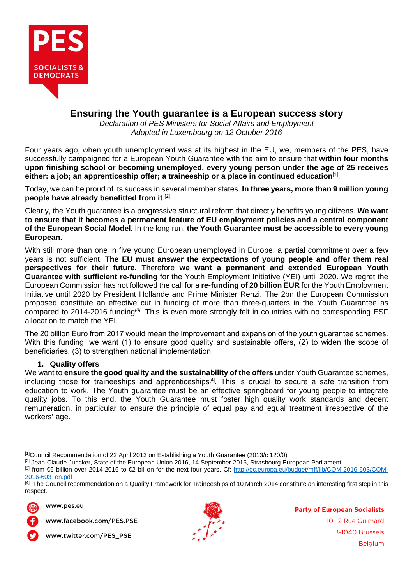

# **Ensuring the Youth guarantee is a European success story**

Declaration of PES Ministers for Social Affairs and Employment Adopted in Luxembourg on 12 October 2016

Four years ago, when youth unemployment was at its highest in the EU, we, members of the PES, have successfully campaigned for a European Youth Guarantee with the aim to ensure that **within four months upon finishing school or becoming unemployed, every young person under the age of 25 receives either: a job; an apprenticeship offer; a traineeship or a place in continued education**[1] .

Today, we can be proud of its success in several member states. **In three years, more than 9 million young people have already benefitted from it**. [2]

Clearly, the Youth guarantee is a progressive structural reform that directly benefits young citizens. **We want to ensure that it becomes a permanent feature of EU employment policies and a central component of the European Social Model.** In the long run, **the Youth Guarantee must be accessible to every young European.** 

With still more than one in five young European unemployed in Europe, a partial commitment over a few years is not sufficient. **The EU must answer the expectations of young people and offer them real perspectives for their future**. Therefore **we want a permanent and extended European Youth Guarantee with sufficient re-funding** for the Youth Employment Initiative (YEI) until 2020. We regret the European Commission has not followed the call for a **re-funding of 20 billion EUR** for the Youth Employment Initiative until 2020 by President Hollande and Prime Minister Renzi. The 2bn the European Commission proposed constitute an effective cut in funding of more than three-quarters in the Youth Guarantee as compared to 2014-2016 funding<sup>[3]</sup>. This is even more strongly felt in countries with no corresponding ESF allocation to match the YEI.

The 20 billion Euro from 2017 would mean the improvement and expansion of the youth guarantee schemes. With this funding, we want (1) to ensure good quality and sustainable offers, (2) to widen the scope of beneficiaries, (3) to strengthen national implementation.

## **1. Quality offers**

We want to **ensure the good quality and the sustainability of the offers** under Youth Guarantee schemes, including those for traineeships and apprenticeships<sup>[4]</sup>. This is crucial to secure a safe transition from education to work. The Youth guarantee must be an effective springboard for young people to integrate quality jobs. To this end, the Youth Guarantee must foster high quality work standards and decent remuneration, in particular to ensure the principle of equal pay and equal treatment irrespective of the workers' age.

www.pes.eu

Euro USS Stripts.<br><sup>[4]</sup> The Council recommendation on a Quality Framework for Traineeships of 10 March 2014 constitute an interesting first step in this respect.



l

www.facebook.com/PES.PSE

www.twitter.com/PES\_PSE



**Party of European Socialists** 10-12 Rue Guimard B-1040 Brussels Belgium

<sup>[</sup>1]Council Recommendation of 22 April 2013 on Establishing a Youth Guarantee (2013/c 120/0)

<sup>&</sup>lt;sup>[2]</sup> Jean-Claude Juncker, State of the European Union 2016, 14 September 2016, Strasbourg European Parliament.

<sup>[3]</sup> from €6 billion over 2014-2016 to €2 billion for the next four years, Cf: http://ec.europa.eu/budget/mff/lib/COM-2016-603/COM-

<sup>2016-603</sup>\_en.pdf